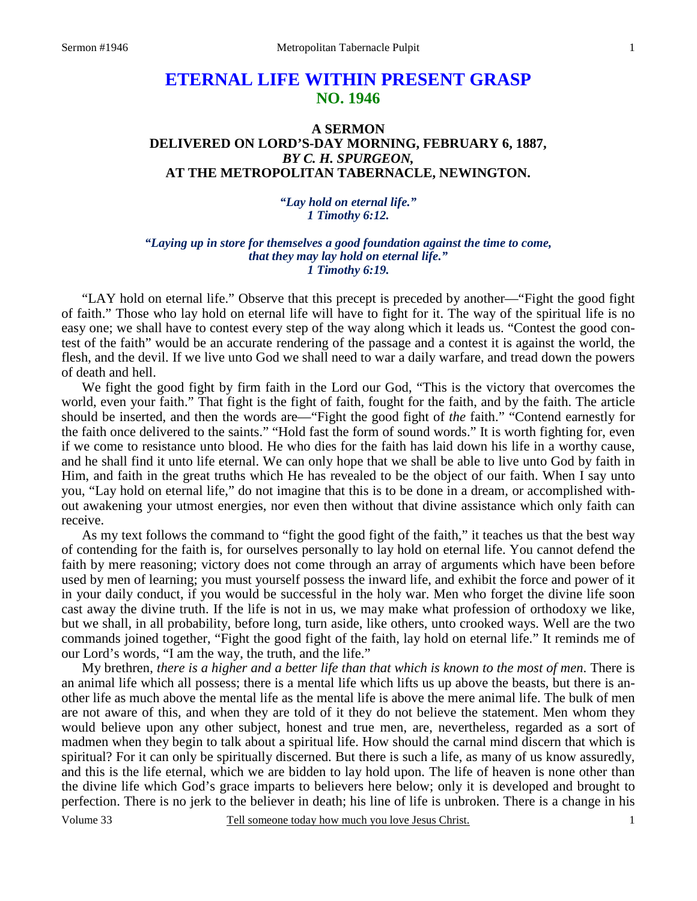# **ETERNAL LIFE WITHIN PRESENT GRASP NO. 1946**

## **A SERMON DELIVERED ON LORD'S-DAY MORNING, FEBRUARY 6, 1887,**  *BY C. H. SPURGEON,*  **AT THE METROPOLITAN TABERNACLE, NEWINGTON.**

*"Lay hold on eternal life." 1 Timothy 6:12.* 

#### *"Laying up in store for themselves a good foundation against the time to come, that they may lay hold on eternal life." 1 Timothy 6:19.*

"LAY hold on eternal life." Observe that this precept is preceded by another—"Fight the good fight of faith." Those who lay hold on eternal life will have to fight for it. The way of the spiritual life is no easy one; we shall have to contest every step of the way along which it leads us. "Contest the good contest of the faith" would be an accurate rendering of the passage and a contest it is against the world, the flesh, and the devil. If we live unto God we shall need to war a daily warfare, and tread down the powers of death and hell.

We fight the good fight by firm faith in the Lord our God, "This is the victory that overcomes the world, even your faith." That fight is the fight of faith, fought for the faith, and by the faith. The article should be inserted, and then the words are—"Fight the good fight of *the* faith." "Contend earnestly for the faith once delivered to the saints." "Hold fast the form of sound words." It is worth fighting for, even if we come to resistance unto blood. He who dies for the faith has laid down his life in a worthy cause, and he shall find it unto life eternal. We can only hope that we shall be able to live unto God by faith in Him, and faith in the great truths which He has revealed to be the object of our faith. When I say unto you, "Lay hold on eternal life," do not imagine that this is to be done in a dream, or accomplished without awakening your utmost energies, nor even then without that divine assistance which only faith can receive.

As my text follows the command to "fight the good fight of the faith," it teaches us that the best way of contending for the faith is, for ourselves personally to lay hold on eternal life. You cannot defend the faith by mere reasoning; victory does not come through an array of arguments which have been before used by men of learning; you must yourself possess the inward life, and exhibit the force and power of it in your daily conduct, if you would be successful in the holy war. Men who forget the divine life soon cast away the divine truth. If the life is not in us, we may make what profession of orthodoxy we like, but we shall, in all probability, before long, turn aside, like others, unto crooked ways. Well are the two commands joined together, "Fight the good fight of the faith, lay hold on eternal life." It reminds me of our Lord's words, "I am the way, the truth, and the life."

My brethren, *there is a higher and a better life than that which is known to the most of men*. There is an animal life which all possess; there is a mental life which lifts us up above the beasts, but there is another life as much above the mental life as the mental life is above the mere animal life. The bulk of men are not aware of this, and when they are told of it they do not believe the statement. Men whom they would believe upon any other subject, honest and true men, are, nevertheless, regarded as a sort of madmen when they begin to talk about a spiritual life. How should the carnal mind discern that which is spiritual? For it can only be spiritually discerned. But there is such a life, as many of us know assuredly, and this is the life eternal, which we are bidden to lay hold upon. The life of heaven is none other than the divine life which God's grace imparts to believers here below; only it is developed and brought to perfection. There is no jerk to the believer in death; his line of life is unbroken. There is a change in his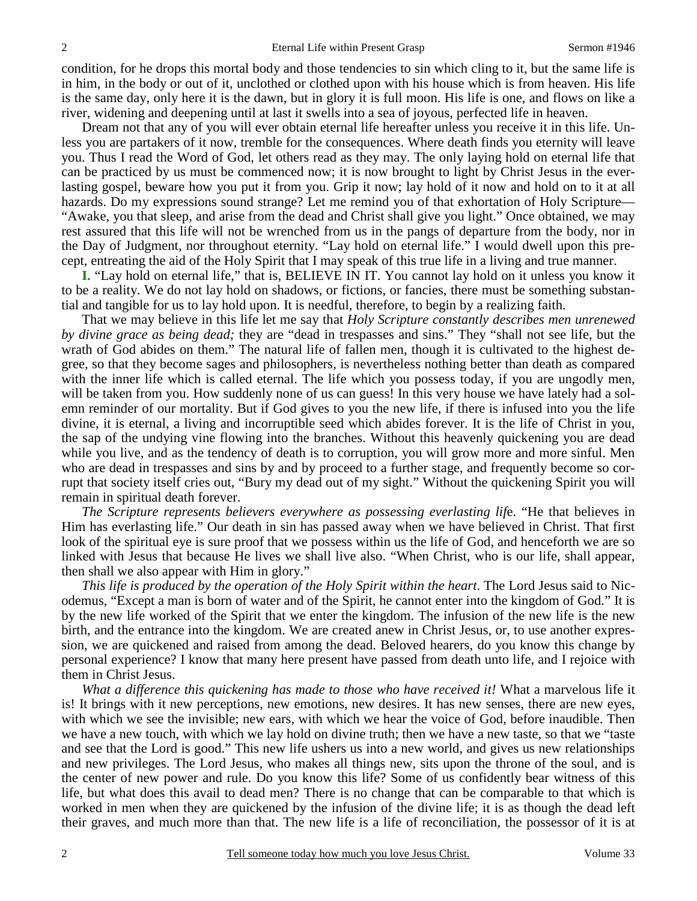condition, for he drops this mortal body and those tendencies to sin which cling to it, but the same life is in him, in the body or out of it, unclothed or clothed upon with his house which is from heaven. His life is the same day, only here it is the dawn, but in glory it is full moon. His life is one, and flows on like a river, widening and deepening until at last it swells into a sea of joyous, perfected life in heaven.

Dream not that any of you will ever obtain eternal life hereafter unless you receive it in this life. Unless you are partakers of it now*,* tremble for the consequences. Where death finds you eternity will leave you. Thus I read the Word of God, let others read as they may. The only laying hold on eternal life that can be practiced by us must be commenced now; it is now brought to light by Christ Jesus in the everlasting gospel, beware how you put it from you. Grip it now; lay hold of it now and hold on to it at all hazards. Do my expressions sound strange? Let me remind you of that exhortation of Holy Scripture— "Awake, you that sleep, and arise from the dead and Christ shall give you light." Once obtained, we may rest assured that this life will not be wrenched from us in the pangs of departure from the body, nor in the Day of Judgment, nor throughout eternity. "Lay hold on eternal life." I would dwell upon this precept, entreating the aid of the Holy Spirit that I may speak of this true life in a living and true manner.

**I.** "Lay hold on eternal life," that is, BELIEVE IN IT. You cannot lay hold on it unless you know it to be a reality. We do not lay hold on shadows, or fictions, or fancies, there must be something substantial and tangible for us to lay hold upon. It is needful, therefore, to begin by a realizing faith.

That we may believe in this life let me say that *Holy Scripture constantly describes men unrenewed by divine grace as being dead;* they are "dead in trespasses and sins." They "shall not see life, but the wrath of God abides on them." The natural life of fallen men, though it is cultivated to the highest degree, so that they become sages and philosophers, is nevertheless nothing better than death as compared with the inner life which is called eternal. The life which you possess today, if you are ungodly men, will be taken from you. How suddenly none of us can guess! In this very house we have lately had a solemn reminder of our mortality. But if God gives to you the new life, if there is infused into you the life divine, it is eternal, a living and incorruptible seed which abides forever. It is the life of Christ in you, the sap of the undying vine flowing into the branches. Without this heavenly quickening you are dead while you live, and as the tendency of death is to corruption, you will grow more and more sinful. Men who are dead in trespasses and sins by and by proceed to a further stage, and frequently become so corrupt that society itself cries out, "Bury my dead out of my sight." Without the quickening Spirit you will remain in spiritual death forever.

*The Scripture represents believers everywhere as possessing everlasting lif*e. "He that believes in Him has everlasting life." Our death in sin has passed away when we have believed in Christ. That first look of the spiritual eye is sure proof that we possess within us the life of God, and henceforth we are so linked with Jesus that because He lives we shall live also. "When Christ, who is our life, shall appear, then shall we also appear with Him in glory."

*This life is produced by the operation of the Holy Spirit within the heart*. The Lord Jesus said to Nicodemus, "Except a man is born of water and of the Spirit, he cannot enter into the kingdom of God." It is by the new life worked of the Spirit that we enter the kingdom. The infusion of the new life is the new birth, and the entrance into the kingdom. We are created anew in Christ Jesus, or, to use another expression, we are quickened and raised from among the dead. Beloved hearers, do you know this change by personal experience? I know that many here present have passed from death unto life, and I rejoice with them in Christ Jesus.

*What a difference this quickening has made to those who have received it!* What a marvelous life it is! It brings with it new perceptions, new emotions, new desires. It has new senses, there are new eyes, with which we see the invisible; new ears, with which we hear the voice of God, before inaudible. Then we have a new touch, with which we lay hold on divine truth; then we have a new taste, so that we "taste and see that the Lord is good." This new life ushers us into a new world, and gives us new relationships and new privileges. The Lord Jesus, who makes all things new, sits upon the throne of the soul, and is the center of new power and rule. Do you know this life? Some of us confidently bear witness of this life, but what does this avail to dead men? There is no change that can be comparable to that which is worked in men when they are quickened by the infusion of the divine life; it is as though the dead left their graves, and much more than that. The new life is a life of reconciliation, the possessor of it is at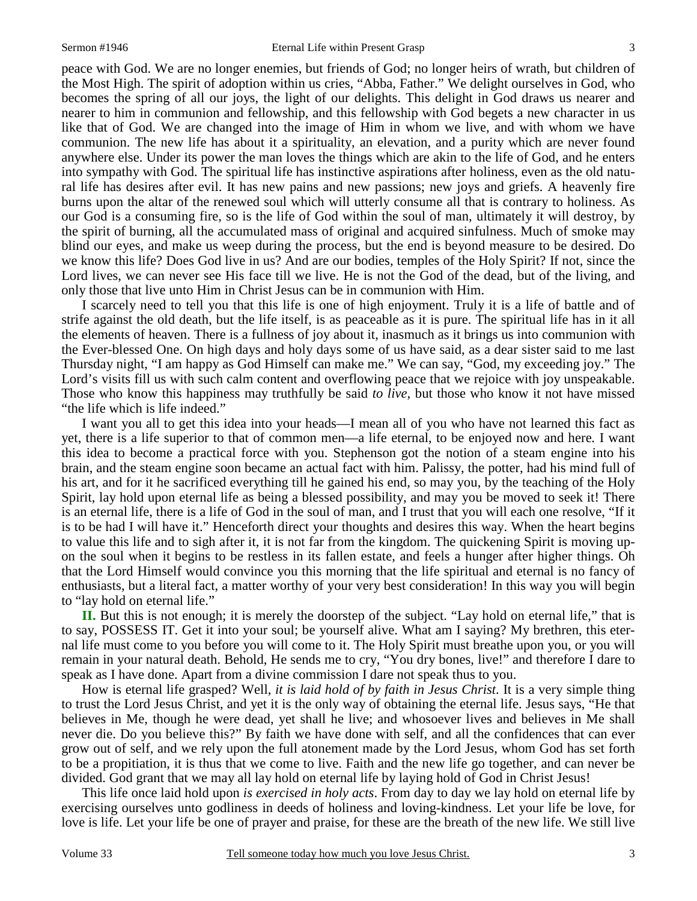peace with God. We are no longer enemies, but friends of God; no longer heirs of wrath, but children of the Most High. The spirit of adoption within us cries, "Abba, Father." We delight ourselves in God, who becomes the spring of all our joys, the light of our delights. This delight in God draws us nearer and nearer to him in communion and fellowship, and this fellowship with God begets a new character in us like that of God. We are changed into the image of Him in whom we live, and with whom we have communion. The new life has about it a spirituality, an elevation, and a purity which are never found anywhere else. Under its power the man loves the things which are akin to the life of God, and he enters into sympathy with God. The spiritual life has instinctive aspirations after holiness, even as the old natural life has desires after evil. It has new pains and new passions; new joys and griefs. A heavenly fire burns upon the altar of the renewed soul which will utterly consume all that is contrary to holiness. As our God is a consuming fire, so is the life of God within the soul of man, ultimately it will destroy, by the spirit of burning, all the accumulated mass of original and acquired sinfulness. Much of smoke may blind our eyes, and make us weep during the process, but the end is beyond measure to be desired. Do we know this life? Does God live in us? And are our bodies, temples of the Holy Spirit? If not, since the Lord lives, we can never see His face till we live. He is not the God of the dead, but of the living, and only those that live unto Him in Christ Jesus can be in communion with Him.

I scarcely need to tell you that this life is one of high enjoyment. Truly it is a life of battle and of strife against the old death, but the life itself, is as peaceable as it is pure. The spiritual life has in it all the elements of heaven. There is a fullness of joy about it, inasmuch as it brings us into communion with the Ever-blessed One. On high days and holy days some of us have said, as a dear sister said to me last Thursday night, "I am happy as God Himself can make me." We can say, "God, my exceeding joy." The Lord's visits fill us with such calm content and overflowing peace that we rejoice with joy unspeakable. Those who know this happiness may truthfully be said *to live,* but those who know it not have missed "the life which is life indeed."

I want you all to get this idea into your heads—I mean all of you who have not learned this fact as yet, there is a life superior to that of common men—a life eternal, to be enjoyed now and here*.* I want this idea to become a practical force with you. Stephenson got the notion of a steam engine into his brain, and the steam engine soon became an actual fact with him. Palissy, the potter, had his mind full of his art, and for it he sacrificed everything till he gained his end, so may you, by the teaching of the Holy Spirit, lay hold upon eternal life as being a blessed possibility, and may you be moved to seek it! There is an eternal life, there is a life of God in the soul of man, and I trust that you will each one resolve, "If it is to be had I will have it." Henceforth direct your thoughts and desires this way. When the heart begins to value this life and to sigh after it, it is not far from the kingdom. The quickening Spirit is moving upon the soul when it begins to be restless in its fallen estate, and feels a hunger after higher things. Oh that the Lord Himself would convince you this morning that the life spiritual and eternal is no fancy of enthusiasts, but a literal fact, a matter worthy of your very best consideration! In this way you will begin to "lay hold on eternal life."

**II.** But this is not enough; it is merely the doorstep of the subject. "Lay hold on eternal life," that is to say, POSSESS IT. Get it into your soul; be yourself alive. What am I saying? My brethren, this eternal life must come to you before you will come to it. The Holy Spirit must breathe upon you, or you will remain in your natural death. Behold, He sends me to cry, "You dry bones, live!" and therefore I dare to speak as I have done. Apart from a divine commission I dare not speak thus to you.

How is eternal life grasped? Well, *it is laid hold of by faith in Jesus Christ*. It is a very simple thing to trust the Lord Jesus Christ, and yet it is the only way of obtaining the eternal life. Jesus says, "He that believes in Me, though he were dead, yet shall he live; and whosoever lives and believes in Me shall never die. Do you believe this?" By faith we have done with self, and all the confidences that can ever grow out of self, and we rely upon the full atonement made by the Lord Jesus, whom God has set forth to be a propitiation, it is thus that we come to live. Faith and the new life go together, and can never be divided. God grant that we may all lay hold on eternal life by laying hold of God in Christ Jesus!

This life once laid hold upon *is exercised in holy acts*. From day to day we lay hold on eternal life by exercising ourselves unto godliness in deeds of holiness and loving-kindness. Let your life be love, for love is life. Let your life be one of prayer and praise, for these are the breath of the new life. We still live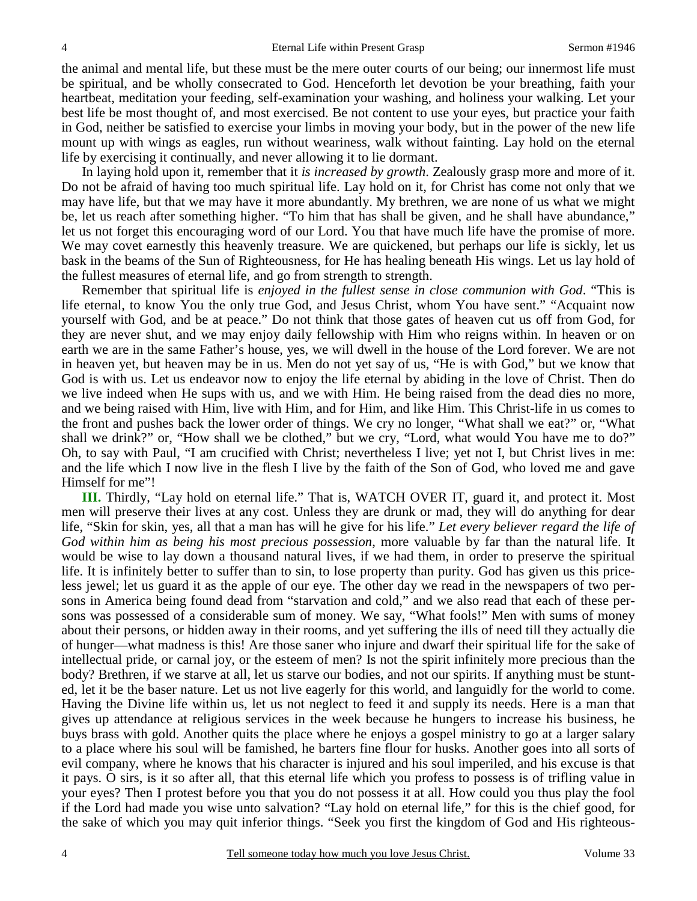the animal and mental life, but these must be the mere outer courts of our being; our innermost life must be spiritual, and be wholly consecrated to God. Henceforth let devotion be your breathing, faith your heartbeat, meditation your feeding, self-examination your washing, and holiness your walking. Let your best life be most thought of, and most exercised. Be not content to use your eyes, but practice your faith in God, neither be satisfied to exercise your limbs in moving your body, but in the power of the new life mount up with wings as eagles, run without weariness, walk without fainting. Lay hold on the eternal life by exercising it continually, and never allowing it to lie dormant.

In laying hold upon it, remember that it *is increased by growth*. Zealously grasp more and more of it. Do not be afraid of having too much spiritual life. Lay hold on it, for Christ has come not only that we may have life, but that we may have it more abundantly. My brethren, we are none of us what we might be, let us reach after something higher. "To him that has shall be given, and he shall have abundance," let us not forget this encouraging word of our Lord. You that have much life have the promise of more. We may covet earnestly this heavenly treasure. We are quickened, but perhaps our life is sickly, let us bask in the beams of the Sun of Righteousness, for He has healing beneath His wings. Let us lay hold of the fullest measures of eternal life, and go from strength to strength.

Remember that spiritual life is *enjoyed in the fullest sense in close communion with God*. "This is life eternal, to know You the only true God, and Jesus Christ, whom You have sent." "Acquaint now yourself with God, and be at peace." Do not think that those gates of heaven cut us off from God, for they are never shut, and we may enjoy daily fellowship with Him who reigns within. In heaven or on earth we are in the same Father's house, yes, we will dwell in the house of the Lord forever. We are not in heaven yet, but heaven may be in us. Men do not yet say of us, "He is with God," but we know that God is with us. Let us endeavor now to enjoy the life eternal by abiding in the love of Christ. Then do we live indeed when He sups with us, and we with Him. He being raised from the dead dies no more, and we being raised with Him, live with Him, and for Him, and like Him. This Christ-life in us comes to the front and pushes back the lower order of things. We cry no longer, "What shall we eat?" or, "What shall we drink?" or, "How shall we be clothed," but we cry, "Lord, what would You have me to do?" Oh, to say with Paul, "I am crucified with Christ; nevertheless I live; yet not I, but Christ lives in me: and the life which I now live in the flesh I live by the faith of the Son of God, who loved me and gave Himself for me"!

**III.** Thirdly, "Lay hold on eternal life." That is, WATCH OVER IT, guard it, and protect it. Most men will preserve their lives at any cost. Unless they are drunk or mad, they will do anything for dear life, "Skin for skin, yes, all that a man has will he give for his life." *Let every believer regard the life of God within him as being his most precious possession*, more valuable by far than the natural life. It would be wise to lay down a thousand natural lives, if we had them, in order to preserve the spiritual life. It is infinitely better to suffer than to sin, to lose property than purity. God has given us this priceless jewel; let us guard it as the apple of our eye. The other day we read in the newspapers of two persons in America being found dead from "starvation and cold," and we also read that each of these persons was possessed of a considerable sum of money. We say, "What fools!" Men with sums of money about their persons, or hidden away in their rooms, and yet suffering the ills of need till they actually die of hunger—what madness is this! Are those saner who injure and dwarf their spiritual life for the sake of intellectual pride, or carnal joy, or the esteem of men? Is not the spirit infinitely more precious than the body? Brethren, if we starve at all, let us starve our bodies, and not our spirits. If anything must be stunted, let it be the baser nature. Let us not live eagerly for this world, and languidly for the world to come. Having the Divine life within us, let us not neglect to feed it and supply its needs. Here is a man that gives up attendance at religious services in the week because he hungers to increase his business, he buys brass with gold. Another quits the place where he enjoys a gospel ministry to go at a larger salary to a place where his soul will be famished, he barters fine flour for husks. Another goes into all sorts of evil company, where he knows that his character is injured and his soul imperiled, and his excuse is that it pays. O sirs, is it so after all, that this eternal life which you profess to possess is of trifling value in your eyes? Then I protest before you that you do not possess it at all. How could you thus play the fool if the Lord had made you wise unto salvation? "Lay hold on eternal life," for this is the chief good, for the sake of which you may quit inferior things. "Seek you first the kingdom of God and His righteous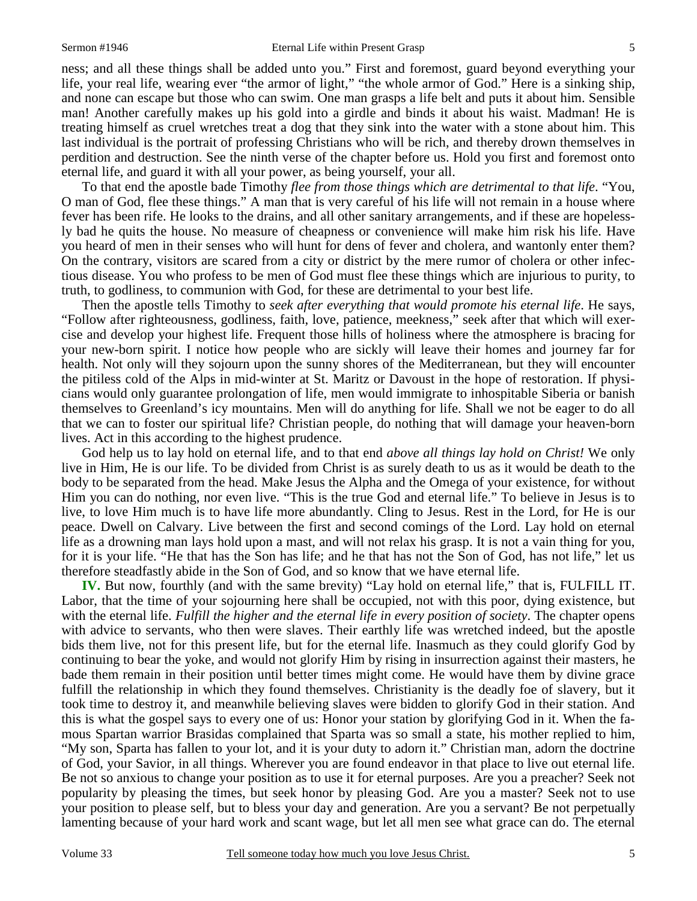ness; and all these things shall be added unto you." First and foremost, guard beyond everything your life, your real life, wearing ever "the armor of light," "the whole armor of God." Here is a sinking ship, and none can escape but those who can swim. One man grasps a life belt and puts it about him. Sensible man! Another carefully makes up his gold into a girdle and binds it about his waist. Madman! He is treating himself as cruel wretches treat a dog that they sink into the water with a stone about him. This last individual is the portrait of professing Christians who will be rich, and thereby drown themselves in perdition and destruction. See the ninth verse of the chapter before us. Hold you first and foremost onto eternal life, and guard it with all your power, as being yourself, your all.

To that end the apostle bade Timothy *flee from those things which are detrimental to that life*. "You, O man of God, flee these things." A man that is very careful of his life will not remain in a house where fever has been rife. He looks to the drains, and all other sanitary arrangements, and if these are hopelessly bad he quits the house. No measure of cheapness or convenience will make him risk his life. Have you heard of men in their senses who will hunt for dens of fever and cholera, and wantonly enter them? On the contrary, visitors are scared from a city or district by the mere rumor of cholera or other infectious disease. You who profess to be men of God must flee these things which are injurious to purity, to truth, to godliness, to communion with God, for these are detrimental to your best life.

Then the apostle tells Timothy to *seek after everything that would promote his eternal life*. He says, "Follow after righteousness, godliness, faith, love, patience, meekness," seek after that which will exercise and develop your highest life. Frequent those hills of holiness where the atmosphere is bracing for your new-born spirit. I notice how people who are sickly will leave their homes and journey far for health. Not only will they sojourn upon the sunny shores of the Mediterranean, but they will encounter the pitiless cold of the Alps in mid-winter at St. Maritz or Davoust in the hope of restoration. If physicians would only guarantee prolongation of life, men would immigrate to inhospitable Siberia or banish themselves to Greenland's icy mountains. Men will do anything for life. Shall we not be eager to do all that we can to foster our spiritual life? Christian people, do nothing that will damage your heaven-born lives. Act in this according to the highest prudence.

God help us to lay hold on eternal life, and to that end *above all things lay hold on Christ!* We only live in Him, He is our life. To be divided from Christ is as surely death to us as it would be death to the body to be separated from the head. Make Jesus the Alpha and the Omega of your existence, for without Him you can do nothing, nor even live. "This is the true God and eternal life." To believe in Jesus is to live, to love Him much is to have life more abundantly. Cling to Jesus. Rest in the Lord, for He is our peace. Dwell on Calvary. Live between the first and second comings of the Lord. Lay hold on eternal life as a drowning man lays hold upon a mast, and will not relax his grasp. It is not a vain thing for you, for it is your life. "He that has the Son has life; and he that has not the Son of God, has not life," let us therefore steadfastly abide in the Son of God, and so know that we have eternal life.

**IV.** But now, fourthly (and with the same brevity) "Lay hold on eternal life," that is, FULFILL IT. Labor, that the time of your sojourning here shall be occupied, not with this poor, dying existence, but with the eternal life. *Fulfill the higher and the eternal life in every position of society*. The chapter opens with advice to servants, who then were slaves. Their earthly life was wretched indeed, but the apostle bids them live, not for this present life, but for the eternal life. Inasmuch as they could glorify God by continuing to bear the yoke, and would not glorify Him by rising in insurrection against their masters, he bade them remain in their position until better times might come. He would have them by divine grace fulfill the relationship in which they found themselves. Christianity is the deadly foe of slavery, but it took time to destroy it, and meanwhile believing slaves were bidden to glorify God in their station. And this is what the gospel says to every one of us: Honor your station by glorifying God in it. When the famous Spartan warrior Brasidas complained that Sparta was so small a state, his mother replied to him, "My son, Sparta has fallen to your lot, and it is your duty to adorn it." Christian man, adorn the doctrine of God, your Savior, in all things. Wherever you are found endeavor in that place to live out eternal life. Be not so anxious to change your position as to use it for eternal purposes. Are you a preacher? Seek not popularity by pleasing the times, but seek honor by pleasing God. Are you a master? Seek not to use your position to please self, but to bless your day and generation. Are you a servant? Be not perpetually lamenting because of your hard work and scant wage, but let all men see what grace can do. The eternal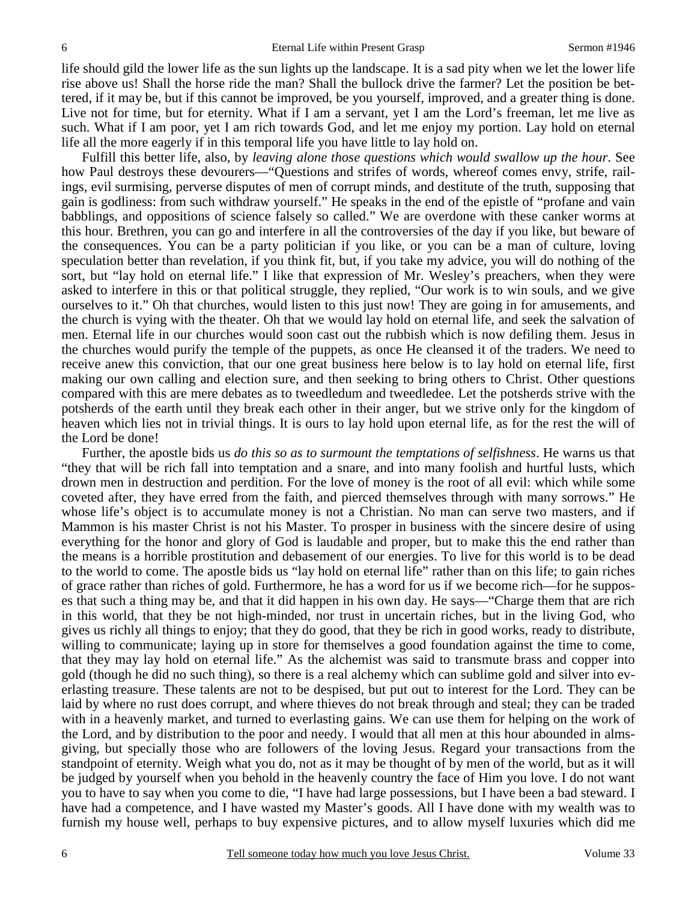life should gild the lower life as the sun lights up the landscape. It is a sad pity when we let the lower life rise above us! Shall the horse ride the man? Shall the bullock drive the farmer? Let the position be bettered, if it may be, but if this cannot be improved, be you yourself, improved, and a greater thing is done. Live not for time, but for eternity. What if I am a servant, yet I am the Lord's freeman, let me live as such. What if I am poor, yet I am rich towards God, and let me enjoy my portion. Lay hold on eternal life all the more eagerly if in this temporal life you have little to lay hold on.

Fulfill this better life, also, by *leaving alone those questions which would swallow up the hour*. See how Paul destroys these devourers—"Questions and strifes of words, whereof comes envy, strife, railings, evil surmising, perverse disputes of men of corrupt minds, and destitute of the truth, supposing that gain is godliness: from such withdraw yourself." He speaks in the end of the epistle of "profane and vain babblings, and oppositions of science falsely so called." We are overdone with these canker worms at this hour. Brethren, you can go and interfere in all the controversies of the day if you like, but beware of the consequences. You can be a party politician if you like, or you can be a man of culture, loving speculation better than revelation, if you think fit, but, if you take my advice, you will do nothing of the sort, but "lay hold on eternal life." I like that expression of Mr. Wesley's preachers, when they were asked to interfere in this or that political struggle, they replied, "Our work is to win souls, and we give ourselves to it." Oh that churches, would listen to this just now! They are going in for amusements, and the church is vying with the theater. Oh that we would lay hold on eternal life, and seek the salvation of men. Eternal life in our churches would soon cast out the rubbish which is now defiling them. Jesus in the churches would purify the temple of the puppets, as once He cleansed it of the traders. We need to receive anew this conviction, that our one great business here below is to lay hold on eternal life, first making our own calling and election sure, and then seeking to bring others to Christ. Other questions compared with this are mere debates as to tweedledum and tweedledee. Let the potsherds strive with the potsherds of the earth until they break each other in their anger, but we strive only for the kingdom of heaven which lies not in trivial things. It is ours to lay hold upon eternal life, as for the rest the will of the Lord be done!

Further, the apostle bids us *do this so as to surmount the temptations of selfishness*. He warns us that "they that will be rich fall into temptation and a snare, and into many foolish and hurtful lusts, which drown men in destruction and perdition. For the love of money is the root of all evil: which while some coveted after, they have erred from the faith, and pierced themselves through with many sorrows." He whose life's object is to accumulate money is not a Christian. No man can serve two masters, and if Mammon is his master Christ is not his Master. To prosper in business with the sincere desire of using everything for the honor and glory of God is laudable and proper, but to make this the end rather than the means is a horrible prostitution and debasement of our energies. To live for this world is to be dead to the world to come. The apostle bids us "lay hold on eternal life" rather than on this life; to gain riches of grace rather than riches of gold. Furthermore, he has a word for us if we become rich—for he supposes that such a thing may be, and that it did happen in his own day. He says—"Charge them that are rich in this world, that they be not high-minded, nor trust in uncertain riches, but in the living God, who gives us richly all things to enjoy; that they do good, that they be rich in good works, ready to distribute, willing to communicate; laying up in store for themselves a good foundation against the time to come, that they may lay hold on eternal life." As the alchemist was said to transmute brass and copper into gold (though he did no such thing), so there is a real alchemy which can sublime gold and silver into everlasting treasure. These talents are not to be despised, but put out to interest for the Lord. They can be laid by where no rust does corrupt, and where thieves do not break through and steal; they can be traded with in a heavenly market, and turned to everlasting gains. We can use them for helping on the work of the Lord, and by distribution to the poor and needy. I would that all men at this hour abounded in almsgiving, but specially those who are followers of the loving Jesus. Regard your transactions from the standpoint of eternity. Weigh what you do, not as it may be thought of by men of the world, but as it will be judged by yourself when you behold in the heavenly country the face of Him you love. I do not want you to have to say when you come to die, "I have had large possessions, but I have been a bad steward. I have had a competence, and I have wasted my Master's goods. All I have done with my wealth was to furnish my house well, perhaps to buy expensive pictures, and to allow myself luxuries which did me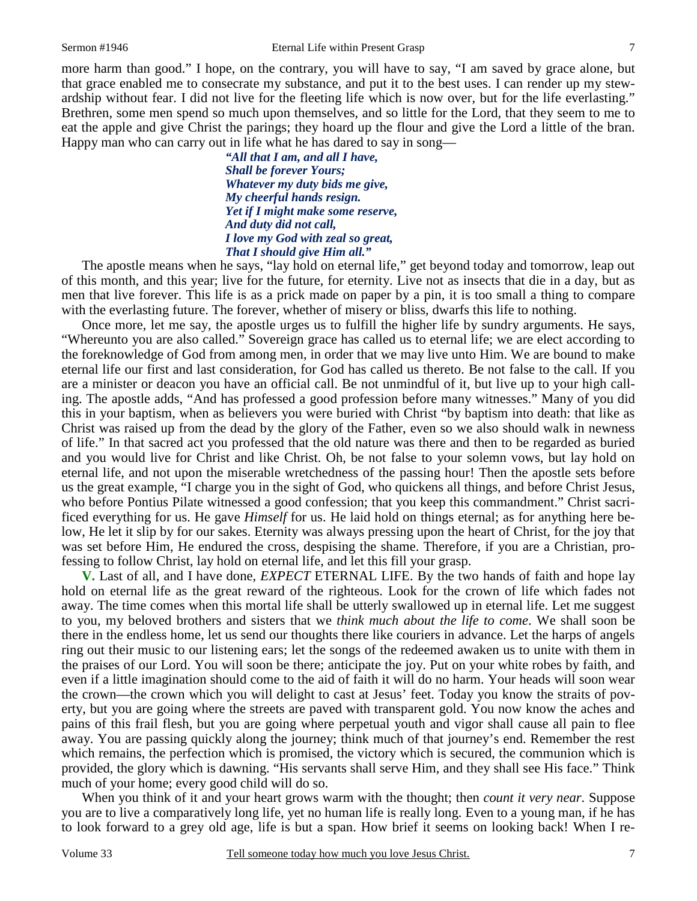more harm than good." I hope, on the contrary, you will have to say, "I am saved by grace alone, but that grace enabled me to consecrate my substance, and put it to the best uses. I can render up my stewardship without fear. I did not live for the fleeting life which is now over, but for the life everlasting." Brethren, some men spend so much upon themselves, and so little for the Lord, that they seem to me to eat the apple and give Christ the parings; they hoard up the flour and give the Lord a little of the bran. Happy man who can carry out in life what he has dared to say in song—

> *"All that I am, and all I have, Shall be forever Yours; Whatever my duty bids me give, My cheerful hands resign. Yet if I might make some reserve, And duty did not call, I love my God with zeal so great, That I should give Him all."*

The apostle means when he says, "lay hold on eternal life," get beyond today and tomorrow, leap out of this month, and this year; live for the future, for eternity. Live not as insects that die in a day, but as men that live forever. This life is as a prick made on paper by a pin, it is too small a thing to compare with the everlasting future. The forever, whether of misery or bliss, dwarfs this life to nothing.

Once more, let me say, the apostle urges us to fulfill the higher life by sundry arguments. He says, "Whereunto you are also called." Sovereign grace has called us to eternal life; we are elect according to the foreknowledge of God from among men, in order that we may live unto Him. We are bound to make eternal life our first and last consideration, for God has called us thereto. Be not false to the call. If you are a minister or deacon you have an official call. Be not unmindful of it, but live up to your high calling. The apostle adds, "And has professed a good profession before many witnesses." Many of you did this in your baptism, when as believers you were buried with Christ "by baptism into death: that like as Christ was raised up from the dead by the glory of the Father, even so we also should walk in newness of life." In that sacred act you professed that the old nature was there and then to be regarded as buried and you would live for Christ and like Christ. Oh, be not false to your solemn vows, but lay hold on eternal life, and not upon the miserable wretchedness of the passing hour! Then the apostle sets before us the great example, "I charge you in the sight of God, who quickens all things, and before Christ Jesus, who before Pontius Pilate witnessed a good confession; that you keep this commandment." Christ sacrificed everything for us. He gave *Himself* for us. He laid hold on things eternal; as for anything here below, He let it slip by for our sakes. Eternity was always pressing upon the heart of Christ, for the joy that was set before Him, He endured the cross, despising the shame. Therefore, if you are a Christian, professing to follow Christ, lay hold on eternal life, and let this fill your grasp.

**V.** Last of all, and I have done, *EXPECT* ETERNAL LIFE. By the two hands of faith and hope lay hold on eternal life as the great reward of the righteous. Look for the crown of life which fades not away. The time comes when this mortal life shall be utterly swallowed up in eternal life. Let me suggest to you, my beloved brothers and sisters that we *think much about the life to come*. We shall soon be there in the endless home, let us send our thoughts there like couriers in advance. Let the harps of angels ring out their music to our listening ears; let the songs of the redeemed awaken us to unite with them in the praises of our Lord. You will soon be there; anticipate the joy. Put on your white robes by faith, and even if a little imagination should come to the aid of faith it will do no harm. Your heads will soon wear the crown—the crown which you will delight to cast at Jesus' feet. Today you know the straits of poverty, but you are going where the streets are paved with transparent gold. You now know the aches and pains of this frail flesh, but you are going where perpetual youth and vigor shall cause all pain to flee away. You are passing quickly along the journey; think much of that journey's end. Remember the rest which remains, the perfection which is promised, the victory which is secured, the communion which is provided, the glory which is dawning. "His servants shall serve Him, and they shall see His face." Think much of your home; every good child will do so.

When you think of it and your heart grows warm with the thought; then *count it very near*. Suppose you are to live a comparatively long life, yet no human life is really long. Even to a young man, if he has to look forward to a grey old age, life is but a span. How brief it seems on looking back! When I re